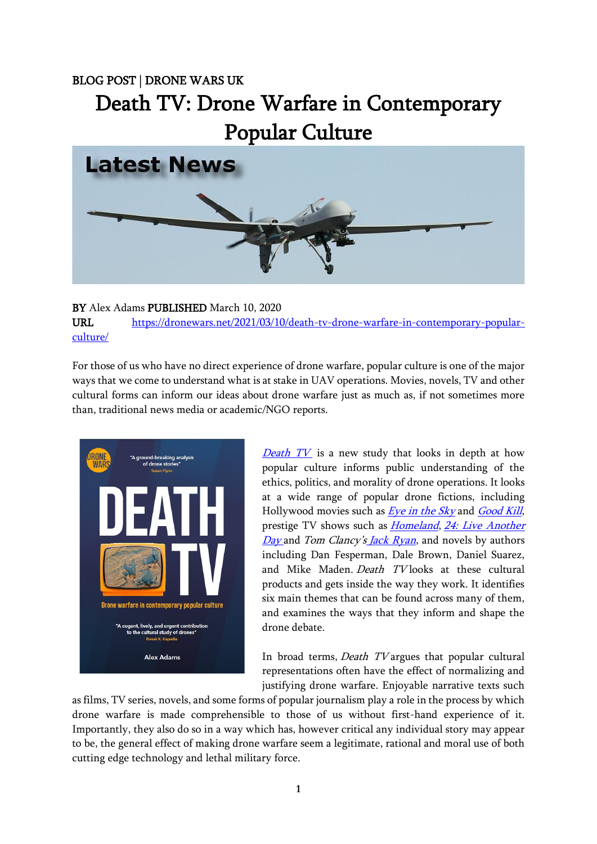## BLOG POST | DRONE WARS UK

# Death TV: Drone Warfare in Contemporary Popular Culture



## BY Alex Adams PUBLISHED March 10, 2020

URL [https://dronewars.net/2021/03/10/death-tv-drone-warfare-in-contemporary-popular](https://dronewars.net/2021/03/10/death-tv-drone-warfare-in-contemporary-popular-culture/)[culture/](https://dronewars.net/2021/03/10/death-tv-drone-warfare-in-contemporary-popular-culture/)

For those of us who have no direct experience of drone warfare, popular culture is one of the major ways that we come to understand what is at stake in UAV operations. Movies, novels, TV and other cultural forms can inform our ideas about drone warfare just as much as, if not sometimes more than, traditional news media or academic/NGO reports.



**[Death TV](https://dronewars.net/wp-content/uploads/2021/03/DW-DeathTV-WEB.pdf)** is a new study that looks in depth at how popular culture informs public understanding of the ethics, politics, and morality of drone operations. It looks at a wide range of popular drone fictions, including Hollywood movies such as *[Eye in the Sky](https://bleeckerstreetmedia.com/eyeinthesky)* and *[Good Kill](https://www.youtube.com/watch?v=pcDB6OZgqzo)*, prestige TV shows such as *[Homeland](https://www.sho.com/homeland)*, 24: Live Another [Day](https://www.imdb.com/title/tt1598754/) and Tom Clancy's *[Jack Ryan](https://www.imdb.com/title/tt5057054/)*, and novels by authors including Dan Fesperman, Dale Brown, Daniel Suarez, and Mike Maden. Death TV looks at these cultural products and gets inside the way they work. It identifies six main themes that can be found across many of them, and examines the ways that they inform and shape the drone debate.

In broad terms, *Death TV* argues that popular cultural representations often have the effect of normalizing and justifying drone warfare. Enjoyable narrative texts such

as films, TV series, novels, and some forms of popular journalism play a role in the process by which drone warfare is made comprehensible to those of us without first-hand experience of it. Importantly, they also do so in a way which has, however critical any individual story may appear to be, the general effect of making drone warfare seem a legitimate, rational and moral use of both cutting edge technology and lethal military force.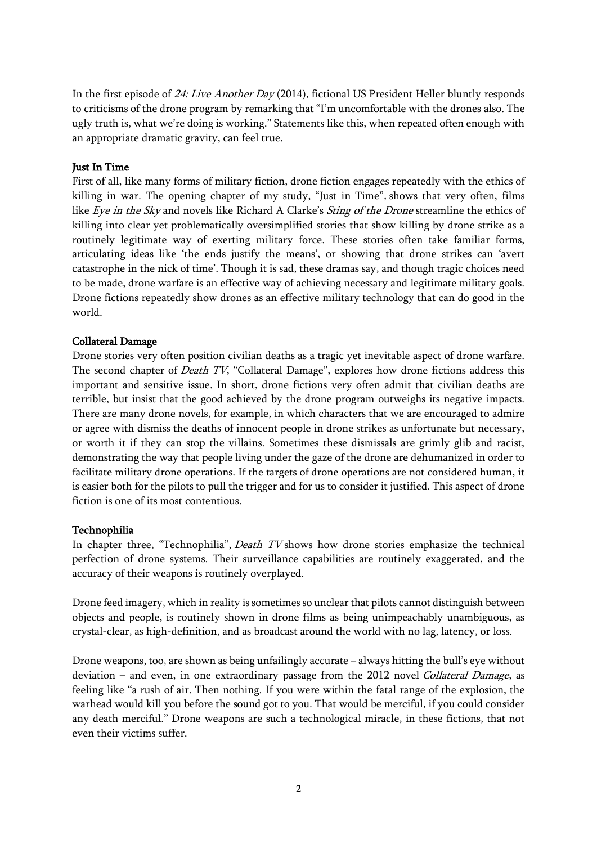In the first episode of 24: Live Another Day (2014), fictional US President Heller bluntly responds to criticisms of the drone program by remarking that "I'm uncomfortable with the drones also. The ugly truth is, what we're doing is working." Statements like this, when repeated often enough with an appropriate dramatic gravity, can feel true.

### Just In Time

First of all, like many forms of military fiction, drone fiction engages repeatedly with the ethics of killing in war. The opening chapter of my study, "Just in Time", shows that very often, films like Eye in the Sky and novels like Richard A Clarke's Sting of the Drone streamline the ethics of killing into clear yet problematically oversimplified stories that show killing by drone strike as a routinely legitimate way of exerting military force. These stories often take familiar forms, articulating ideas like 'the ends justify the means', or showing that drone strikes can 'avert catastrophe in the nick of time'. Though it is sad, these dramas say, and though tragic choices need to be made, drone warfare is an effective way of achieving necessary and legitimate military goals. Drone fictions repeatedly show drones as an effective military technology that can do good in the world.

## Collateral Damage

Drone stories very often position civilian deaths as a tragic yet inevitable aspect of drone warfare. The second chapter of *Death TV*, "Collateral Damage", explores how drone fictions address this important and sensitive issue. In short, drone fictions very often admit that civilian deaths are terrible, but insist that the good achieved by the drone program outweighs its negative impacts. There are many drone novels, for example, in which characters that we are encouraged to admire or agree with dismiss the deaths of innocent people in drone strikes as unfortunate but necessary, or worth it if they can stop the villains. Sometimes these dismissals are grimly glib and racist, demonstrating the way that people living under the gaze of the drone are dehumanized in order to facilitate military drone operations. If the targets of drone operations are not considered human, it is easier both for the pilots to pull the trigger and for us to consider it justified. This aspect of drone fiction is one of its most contentious.

#### Technophilia

In chapter three, "Technophilia", Death TV shows how drone stories emphasize the technical perfection of drone systems. Their surveillance capabilities are routinely exaggerated, and the accuracy of their weapons is routinely overplayed.

Drone feed imagery, which in reality is sometimes so unclear that pilots cannot distinguish between objects and people, is routinely shown in drone films as being unimpeachably unambiguous, as crystal-clear, as high-definition, and as broadcast around the world with no lag, latency, or loss.

Drone weapons, too, are shown as being unfailingly accurate – always hitting the bull's eye without deviation – and even, in one extraordinary passage from the 2012 novel Collateral Damage, as feeling like "a rush of air. Then nothing. If you were within the fatal range of the explosion, the warhead would kill you before the sound got to you. That would be merciful, if you could consider any death merciful." Drone weapons are such a technological miracle, in these fictions, that not even their victims suffer.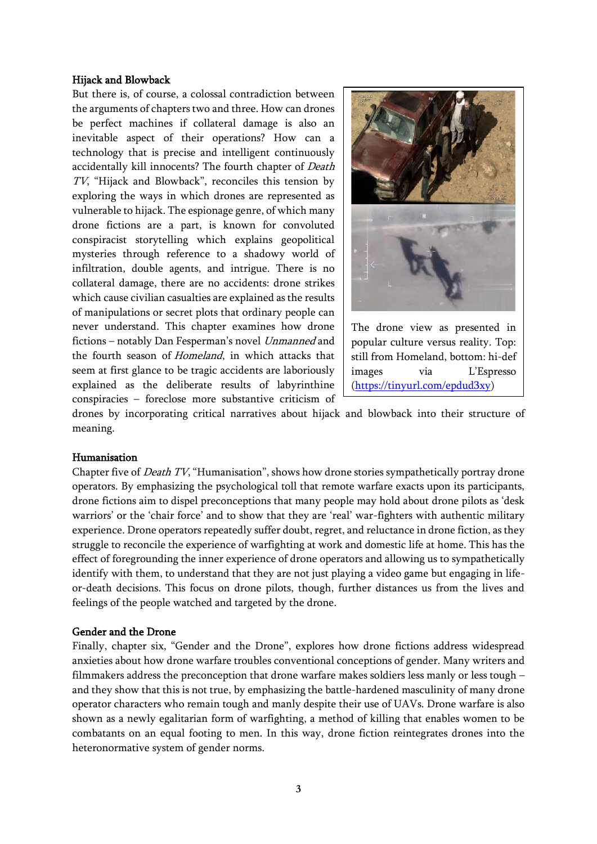#### Hijack and Blowback

But there is, of course, a colossal contradiction between the arguments of chapters two and three. How can drones be perfect machines if collateral damage is also an inevitable aspect of their operations? How can a technology that is precise and intelligent continuously accidentally kill innocents? The fourth chapter of Death TV, "Hijack and Blowback", reconciles this tension by exploring the ways in which drones are represented as vulnerable to hijack. The espionage genre, of which many drone fictions are a part, is known for convoluted conspiracist storytelling which explains geopolitical mysteries through reference to a shadowy world of infiltration, double agents, and intrigue. There is no collateral damage, there are no accidents: drone strikes which cause civilian casualties are explained as the results of manipulations or secret plots that ordinary people can never understand. This chapter examines how drone fictions – notably Dan Fesperman's novel Unmanned and the fourth season of Homeland, in which attacks that seem at first glance to be tragic accidents are laboriously explained as the deliberate results of labyrinthine conspiracies – foreclose more substantive criticism of



The drone view as presented in popular culture versus reality. Top: still from Homeland, bottom: hi-def images via L'Espresso [\(https://tinyurl.com/epdud3xy\)](https://tinyurl.com/epdud3xy)

drones by incorporating critical narratives about hijack and blowback into their structure of meaning.

#### Humanisation

Chapter five of Death TV, "Humanisation", shows how drone stories sympathetically portray drone operators. By emphasizing the psychological toll that remote warfare exacts upon its participants, drone fictions aim to dispel preconceptions that many people may hold about drone pilots as 'desk warriors' or the 'chair force' and to show that they are 'real' war-fighters with authentic military experience. Drone operators repeatedly suffer doubt, regret, and reluctance in drone fiction, as they struggle to reconcile the experience of warfighting at work and domestic life at home. This has the effect of foregrounding the inner experience of drone operators and allowing us to sympathetically identify with them, to understand that they are not just playing a video game but engaging in lifeor-death decisions. This focus on drone pilots, though, further distances us from the lives and feelings of the people watched and targeted by the drone.

#### Gender and the Drone

Finally, chapter six, "Gender and the Drone", explores how drone fictions address widespread anxieties about how drone warfare troubles conventional conceptions of gender. Many writers and filmmakers address the preconception that drone warfare makes soldiers less manly or less tough – and they show that this is not true, by emphasizing the battle-hardened masculinity of many drone operator characters who remain tough and manly despite their use of UAVs. Drone warfare is also shown as a newly egalitarian form of warfighting, a method of killing that enables women to be combatants on an equal footing to men. In this way, drone fiction reintegrates drones into the heteronormative system of gender norms.